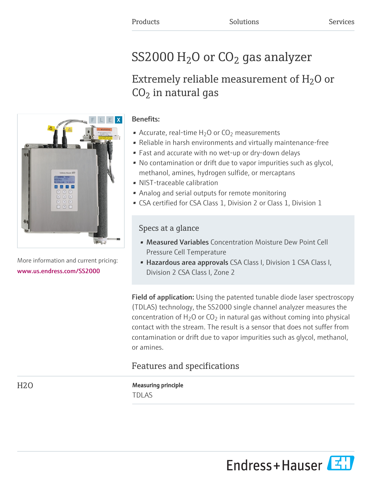# ${\rm SS}2000\,{\rm H}_{\rm 2}$ O or CO $_{\rm 2}$  gas analyzer

## Extremely reliable measurement of  $\rm H_2O$  or  $CO<sub>2</sub>$  in natural gas



More information and current pricing: [www.us.endress.com/SS2000](https://www.us.endress.com/SS2000)

## Benefits:

- Accurate, real-time  $H_2O$  or  $CO_2$  measurements
- Reliable in harsh environments and virtually maintenance-free
- Fast and accurate with no wet-up or dry-down delays
- No contamination or drift due to vapor impurities such as glycol, methanol, amines, hydrogen sulfide, or mercaptans
- NIST-traceable calibration
- Analog and serial outputs for remote monitoring
- CSA certified for CSA Class 1, Division 2 or Class 1, Division 1

## Specs at a glance

- Measured Variables Concentration Moisture Dew Point Cell Pressure Cell Temperature
- Hazardous area approvals CSA Class I, Division 1 CSA Class I, Division 2 CSA Class I, Zone 2

Field of application: Using the patented tunable diode laser spectroscopy (TDLAS) technology, the SS2000 single channel analyzer measures the concentration of  $H_2O$  or  $CO_2$  in natural gas without coming into physical contact with the stream. The result is a sensor that does not suffer from contamination or drift due to vapor impurities such as glycol, methanol, or amines.

## Features and specifications

H<sub>2</sub>O Measuring principle TDLAS

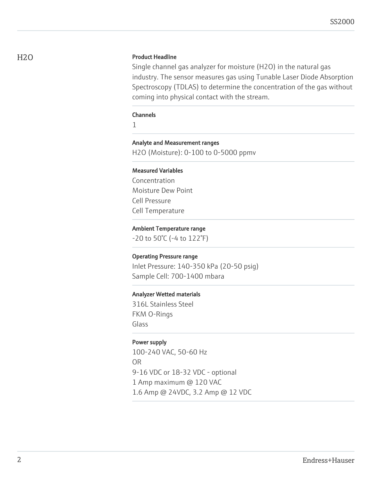#### H<sub>2</sub>O Product Headline

Single channel gas analyzer for moisture (H2O) in the natural gas industry. The sensor measures gas using Tunable Laser Diode Absorption Spectroscopy (TDLAS) to determine the concentration of the gas without coming into physical contact with the stream.

#### Channels

1

#### Analyte and Measurement ranges

H2O (Moisture): 0-100 to 0-5000 ppmv

#### Measured Variables

Concentration Moisture Dew Point Cell Pressure Cell Temperature

#### Ambient Temperature range

-20 to 50°C (-4 to 122°F)

#### Operating Pressure range

Inlet Pressure: 140-350 kPa (20-50 psig) Sample Cell: 700-1400 mbara

#### Analyzer Wetted materials

316L Stainless Steel FKM O-Rings Glass

#### Power supply

100-240 VAC, 50-60 Hz OR 9-16 VDC or 18-32 VDC - optional 1 Amp maximum @ 120 VAC 1.6 Amp @ 24VDC, 3.2 Amp @ 12 VDC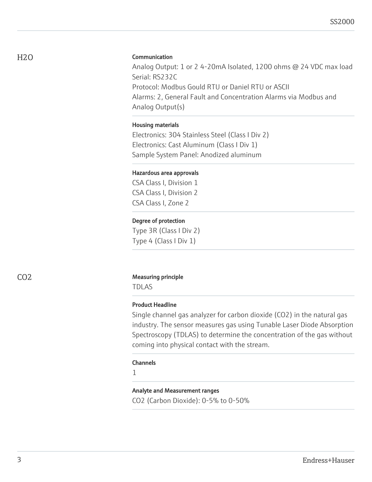#### Communication

Analog Output: 1 or 2 4-20mA Isolated, 1200 ohms @ 24 VDC max load Serial: RS232C Protocol: Modbus Gould RTU or Daniel RTU or ASCII Alarms: 2, General Fault and Concentration Alarms via Modbus and Analog Output(s)

#### Housing materials

Electronics: 304 Stainless Steel (Class I Div 2) Electronics: Cast Aluminum (Class I Div 1) Sample System Panel: Anodized aluminum

#### Hazardous area approvals

CSA Class I, Division 1 CSA Class I, Division 2 CSA Class I, Zone 2

#### Degree of protection

Type 3R (Class I Div 2) Type 4 (Class I Div 1)

#### CO2 Measuring principle

TDLAS

#### Product Headline

Single channel gas analyzer for carbon dioxide (CO2) in the natural gas industry. The sensor measures gas using Tunable Laser Diode Absorption Spectroscopy (TDLAS) to determine the concentration of the gas without coming into physical contact with the stream.

#### Channels

1

#### Analyte and Measurement ranges

CO2 (Carbon Dioxide): 0-5% to 0-50%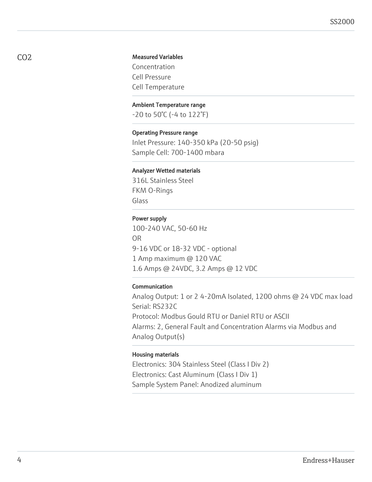#### Measured Variables

Concentration Cell Pressure Cell Temperature

#### Ambient Temperature range

-20 to 50°C (-4 to 122°F)

#### Operating Pressure range

Inlet Pressure: 140-350 kPa (20-50 psig) Sample Cell: 700-1400 mbara

#### Analyzer Wetted materials

316L Stainless Steel FKM O-Rings Glass

#### Power supply

100-240 VAC, 50-60 Hz OR 9-16 VDC or 18-32 VDC - optional 1 Amp maximum @ 120 VAC 1.6 Amps @ 24VDC, 3.2 Amps @ 12 VDC

#### Communication

Analog Output: 1 or 2 4-20mA Isolated, 1200 ohms @ 24 VDC max load Serial: RS232C Protocol: Modbus Gould RTU or Daniel RTU or ASCII Alarms: 2, General Fault and Concentration Alarms via Modbus and Analog Output(s)

#### Housing materials

Electronics: 304 Stainless Steel (Class I Div 2) Electronics: Cast Aluminum (Class I Div 1) Sample System Panel: Anodized aluminum